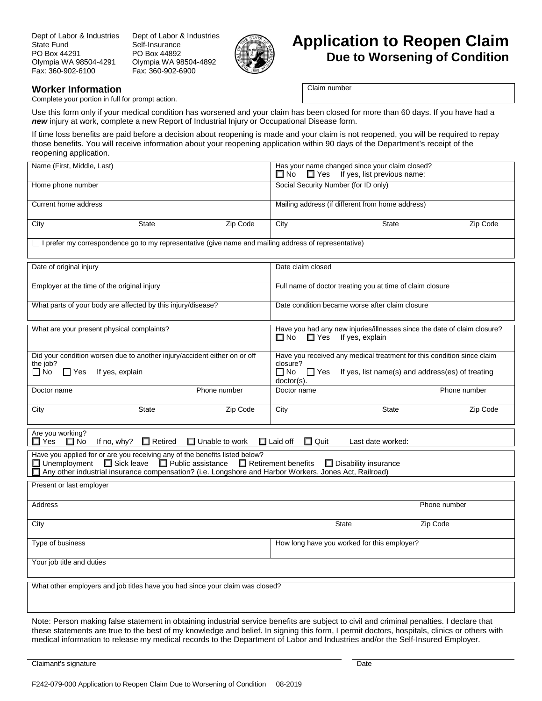Dept of Labor & Industries State Fund PO Box 44291 Olympia WA 98504-4291 Fax: 360-902-6100

Dept of Labor & Industries Self-Insurance PO Box 44892 Olympia WA 98504-4892 Fax: 360-902-6900



## **Application to Reopen Claim Due to Worsening of Condition**

## **Worker Information**

Complete your portion in full for prompt action.

Claim number

Use this form only if your medical condition has worsened and your claim has been closed for more than 60 days. If you have had a *new* injury at work, complete a new Report of Industrial Injury or Occupational Disease form.

If time loss benefits are paid before a decision about reopening is made and your claim is not reopened, you will be required to repay those benefits. You will receive information about your reopening application within 90 days of the Department's receipt of the reopening application.

| Name (First, Middle, Last)                                                                                                                                                                                                                                                                                            | Has your name changed since your claim closed?<br>If yes, list previous name:<br>$\Box$ Yes<br>⊟ No                                                                                   |  |
|-----------------------------------------------------------------------------------------------------------------------------------------------------------------------------------------------------------------------------------------------------------------------------------------------------------------------|---------------------------------------------------------------------------------------------------------------------------------------------------------------------------------------|--|
| Home phone number                                                                                                                                                                                                                                                                                                     | Social Security Number (for ID only)                                                                                                                                                  |  |
| Current home address                                                                                                                                                                                                                                                                                                  | Mailing address (if different from home address)                                                                                                                                      |  |
| Zip Code<br><b>State</b><br>City                                                                                                                                                                                                                                                                                      | State<br>Zip Code<br>City                                                                                                                                                             |  |
| □ I prefer my correspondence go to my representative (give name and mailing address of representative)                                                                                                                                                                                                                |                                                                                                                                                                                       |  |
| Date of original injury                                                                                                                                                                                                                                                                                               | Date claim closed                                                                                                                                                                     |  |
| Employer at the time of the original injury                                                                                                                                                                                                                                                                           | Full name of doctor treating you at time of claim closure                                                                                                                             |  |
| What parts of your body are affected by this injury/disease?                                                                                                                                                                                                                                                          | Date condition became worse after claim closure                                                                                                                                       |  |
| What are your present physical complaints?                                                                                                                                                                                                                                                                            | Have you had any new injuries/illnesses since the date of claim closure?<br>$\Box$ Yes<br>If yes, explain<br>Π No                                                                     |  |
| Did your condition worsen due to another injury/accident either on or off<br>the job?<br>$\Box$ No<br>$\Box$ Yes<br>If yes, explain                                                                                                                                                                                   | Have you received any medical treatment for this condition since claim<br>closure?<br>$\square$ No<br>If yes, list name(s) and address(es) of treating<br>$\Box$ Yes<br>$doctor(s)$ . |  |
| Doctor name<br>Phone number                                                                                                                                                                                                                                                                                           | Phone number<br>Doctor name                                                                                                                                                           |  |
| <b>State</b><br>Zip Code<br>City                                                                                                                                                                                                                                                                                      | City<br><b>State</b><br>Zip Code                                                                                                                                                      |  |
| Are you working?<br>If no, why?<br>$\Box$ Retired<br>$\Box$ Unable to work<br>$\Box$ Quit<br>$\Box$ Yes<br>$\Box$ No<br>$\Box$ Laid off<br>Last date worked:                                                                                                                                                          |                                                                                                                                                                                       |  |
| Have you applied for or are you receiving any of the benefits listed below?<br>$\Box$ Unemployment<br>$\square$ Sick leave<br>$\Box$ Public assistance<br>Retirement benefits<br>$\Box$ Disability insurance<br>Any other industrial insurance compensation? (i.e. Longshore and Harbor Workers, Jones Act, Railroad) |                                                                                                                                                                                       |  |
| Present or last employer                                                                                                                                                                                                                                                                                              |                                                                                                                                                                                       |  |
| Address                                                                                                                                                                                                                                                                                                               | Phone number                                                                                                                                                                          |  |
| City                                                                                                                                                                                                                                                                                                                  | <b>State</b><br>Zip Code                                                                                                                                                              |  |
| Type of business                                                                                                                                                                                                                                                                                                      | How long have you worked for this employer?                                                                                                                                           |  |
| Your job title and duties                                                                                                                                                                                                                                                                                             |                                                                                                                                                                                       |  |
| What other employers and job titles have you had since your claim was closed?                                                                                                                                                                                                                                         |                                                                                                                                                                                       |  |
|                                                                                                                                                                                                                                                                                                                       |                                                                                                                                                                                       |  |

Note: Person making false statement in obtaining industrial service benefits are subject to civil and criminal penalties. I declare that these statements are true to the best of my knowledge and belief. In signing this form, I permit doctors, hospitals, clinics or others with medical information to release my medical records to the Department of Labor and Industries and/or the Self-Insured Employer.